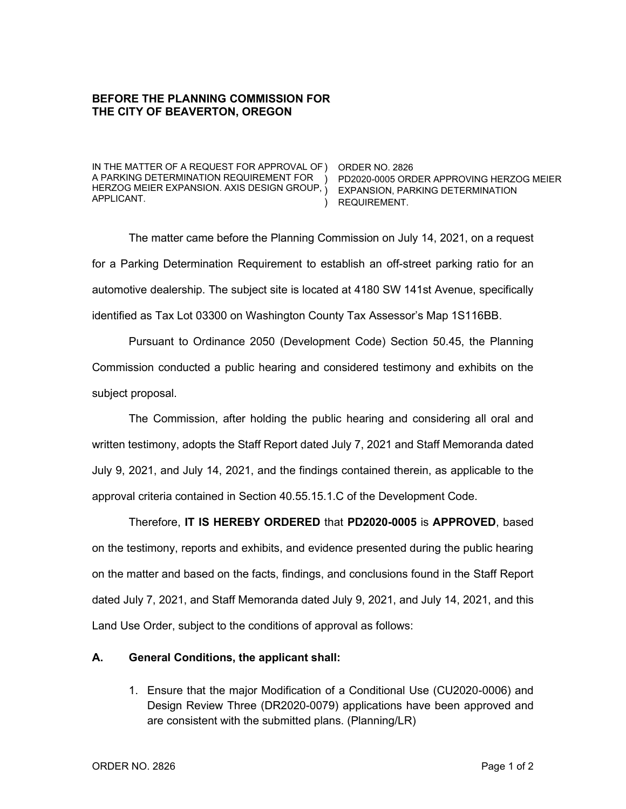## **BEFORE THE PLANNING COMMISSION FOR THE CITY OF BEAVERTON, OREGON**

IN THE MATTER OF A REQUEST FOR APPROVAL OF ) ORDER NO. 2826 A PARKING DETERMINATION REQUIREMENT FOR HERZOG MEIER EXPANSION. AXIS DESIGN GROUP, ) EXPANSION, PARKING DETERMINATION APPLICANT.

) PD2020-0005 ORDER APPROVING HERZOG MEIER ) REQUIREMENT.

The matter came before the Planning Commission on July 14, 2021, on a request for a Parking Determination Requirement to establish an off-street parking ratio for an automotive dealership. The subject site is located at 4180 SW 141st Avenue, specifically identified as Tax Lot 03300 on Washington County Tax Assessor's Map 1S116BB.

Pursuant to Ordinance 2050 (Development Code) Section 50.45, the Planning Commission conducted a public hearing and considered testimony and exhibits on the subject proposal.

The Commission, after holding the public hearing and considering all oral and written testimony, adopts the Staff Report dated July 7, 2021 and Staff Memoranda dated July 9, 2021, and July 14, 2021, and the findings contained therein, as applicable to the approval criteria contained in Section 40.55.15.1.C of the Development Code.

Therefore, **IT IS HEREBY ORDERED** that **PD2020-0005** is **APPROVED**, based on the testimony, reports and exhibits, and evidence presented during the public hearing on the matter and based on the facts, findings, and conclusions found in the Staff Report dated July 7, 2021, and Staff Memoranda dated July 9, 2021, and July 14, 2021, and this Land Use Order, subject to the conditions of approval as follows:

## **A. General Conditions, the applicant shall:**

1. Ensure that the major Modification of a Conditional Use (CU2020-0006) and Design Review Three (DR2020-0079) applications have been approved and are consistent with the submitted plans. (Planning/LR)